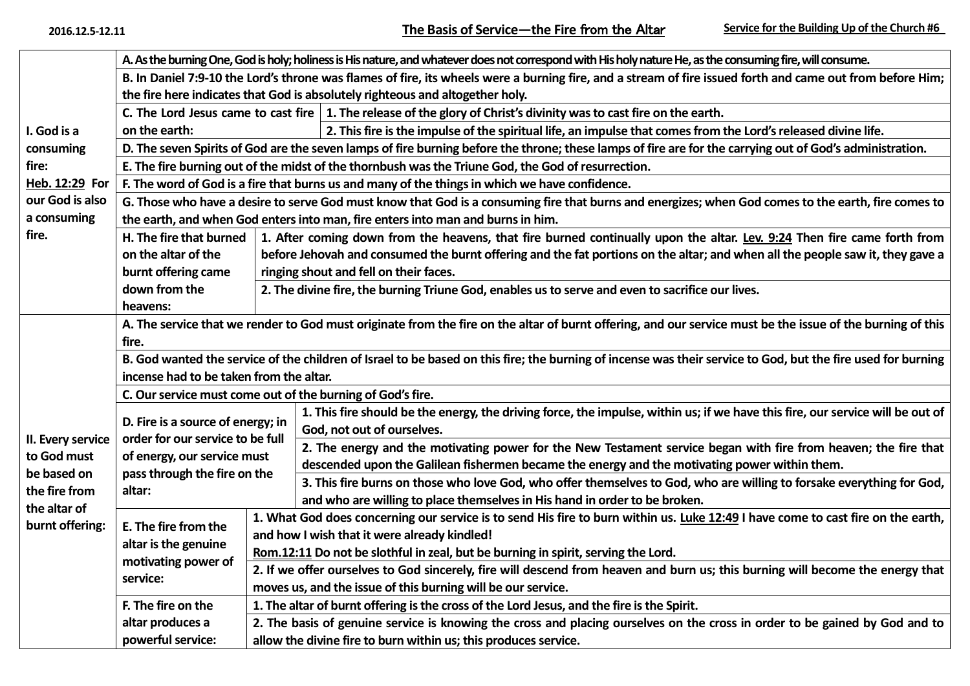| I. God is a<br>consuming<br>fire:<br>Heb. 12:29 For<br>our God is also           | A. As the burning One, God is holy; holiness is His nature, and whatever does not correspond with His holy nature He, as the consuming fire, will consume.   |                                                                                                                                  |                                                                                                                                |  |  |  |  |
|----------------------------------------------------------------------------------|--------------------------------------------------------------------------------------------------------------------------------------------------------------|----------------------------------------------------------------------------------------------------------------------------------|--------------------------------------------------------------------------------------------------------------------------------|--|--|--|--|
|                                                                                  | B. In Daniel 7:9-10 the Lord's throne was flames of fire, its wheels were a burning fire, and a stream of fire issued forth and came out from before Him;    |                                                                                                                                  |                                                                                                                                |  |  |  |  |
|                                                                                  | the fire here indicates that God is absolutely righteous and altogether holy.                                                                                |                                                                                                                                  |                                                                                                                                |  |  |  |  |
|                                                                                  | C. The Lord Jesus came to cast fire $\vert$ 1. The release of the glory of Christ's divinity was to cast fire on the earth.                                  |                                                                                                                                  |                                                                                                                                |  |  |  |  |
|                                                                                  | on the earth:                                                                                                                                                |                                                                                                                                  | 2. This fire is the impulse of the spiritual life, an impulse that comes from the Lord's released divine life.                 |  |  |  |  |
|                                                                                  | D. The seven Spirits of God are the seven lamps of fire burning before the throne; these lamps of fire are for the carrying out of God's administration.     |                                                                                                                                  |                                                                                                                                |  |  |  |  |
|                                                                                  | E. The fire burning out of the midst of the thornbush was the Triune God, the God of resurrection.                                                           |                                                                                                                                  |                                                                                                                                |  |  |  |  |
|                                                                                  | F. The word of God is a fire that burns us and many of the things in which we have confidence.                                                               |                                                                                                                                  |                                                                                                                                |  |  |  |  |
|                                                                                  | G. Those who have a desire to serve God must know that God is a consuming fire that burns and energizes; when God comes to the earth, fire comes to          |                                                                                                                                  |                                                                                                                                |  |  |  |  |
| a consuming                                                                      | the earth, and when God enters into man, fire enters into man and burns in him.                                                                              |                                                                                                                                  |                                                                                                                                |  |  |  |  |
| fire.                                                                            | H. The fire that burned                                                                                                                                      |                                                                                                                                  | 1. After coming down from the heavens, that fire burned continually upon the altar. Lev. 9:24 Then fire came forth from        |  |  |  |  |
|                                                                                  | on the altar of the                                                                                                                                          | before Jehovah and consumed the burnt offering and the fat portions on the altar; and when all the people saw it, they gave a    |                                                                                                                                |  |  |  |  |
|                                                                                  | burnt offering came                                                                                                                                          | ringing shout and fell on their faces.                                                                                           |                                                                                                                                |  |  |  |  |
|                                                                                  | down from the                                                                                                                                                | 2. The divine fire, the burning Triune God, enables us to serve and even to sacrifice our lives.                                 |                                                                                                                                |  |  |  |  |
|                                                                                  | heavens:                                                                                                                                                     |                                                                                                                                  |                                                                                                                                |  |  |  |  |
|                                                                                  | A. The service that we render to God must originate from the fire on the altar of burnt offering, and our service must be the issue of the burning of this   |                                                                                                                                  |                                                                                                                                |  |  |  |  |
|                                                                                  | fire.                                                                                                                                                        |                                                                                                                                  |                                                                                                                                |  |  |  |  |
|                                                                                  | B. God wanted the service of the children of Israel to be based on this fire; the burning of incense was their service to God, but the fire used for burning |                                                                                                                                  |                                                                                                                                |  |  |  |  |
|                                                                                  | incense had to be taken from the altar.                                                                                                                      |                                                                                                                                  |                                                                                                                                |  |  |  |  |
|                                                                                  | C. Our service must come out of the burning of God's fire.                                                                                                   |                                                                                                                                  |                                                                                                                                |  |  |  |  |
|                                                                                  | D. Fire is a source of energy; in                                                                                                                            |                                                                                                                                  | 1. This fire should be the energy, the driving force, the impulse, within us; if we have this fire, our service will be out of |  |  |  |  |
| II. Every service<br>to God must<br>be based on<br>the fire from<br>the altar of | order for our service to be full                                                                                                                             |                                                                                                                                  | God, not out of ourselves.                                                                                                     |  |  |  |  |
|                                                                                  | of energy, our service must                                                                                                                                  |                                                                                                                                  | 2. The energy and the motivating power for the New Testament service began with fire from heaven; the fire that                |  |  |  |  |
|                                                                                  | pass through the fire on the                                                                                                                                 |                                                                                                                                  | descended upon the Galilean fishermen became the energy and the motivating power within them.                                  |  |  |  |  |
|                                                                                  | altar:                                                                                                                                                       |                                                                                                                                  | 3. This fire burns on those who love God, who offer themselves to God, who are willing to forsake everything for God,          |  |  |  |  |
|                                                                                  |                                                                                                                                                              |                                                                                                                                  | and who are willing to place themselves in His hand in order to be broken.                                                     |  |  |  |  |
| burnt offering:                                                                  | E. The fire from the<br>altar is the genuine<br>motivating power of<br>service:                                                                              | 1. What God does concerning our service is to send His fire to burn within us. Luke 12:49 I have come to cast fire on the earth, |                                                                                                                                |  |  |  |  |
|                                                                                  |                                                                                                                                                              | and how I wish that it were already kindled!                                                                                     |                                                                                                                                |  |  |  |  |
|                                                                                  |                                                                                                                                                              | Rom.12:11 Do not be slothful in zeal, but be burning in spirit, serving the Lord.                                                |                                                                                                                                |  |  |  |  |
|                                                                                  |                                                                                                                                                              | 2. If we offer ourselves to God sincerely, fire will descend from heaven and burn us; this burning will become the energy that   |                                                                                                                                |  |  |  |  |
|                                                                                  |                                                                                                                                                              | moves us, and the issue of this burning will be our service.                                                                     |                                                                                                                                |  |  |  |  |
|                                                                                  | F. The fire on the                                                                                                                                           | 1. The altar of burnt offering is the cross of the Lord Jesus, and the fire is the Spirit.                                       |                                                                                                                                |  |  |  |  |
|                                                                                  | altar produces a<br>2. The basis of genuine service is knowing the cross and placing ourselves on the cross in order to be gained by God and to              |                                                                                                                                  |                                                                                                                                |  |  |  |  |
|                                                                                  | powerful service:                                                                                                                                            | allow the divine fire to burn within us; this produces service.                                                                  |                                                                                                                                |  |  |  |  |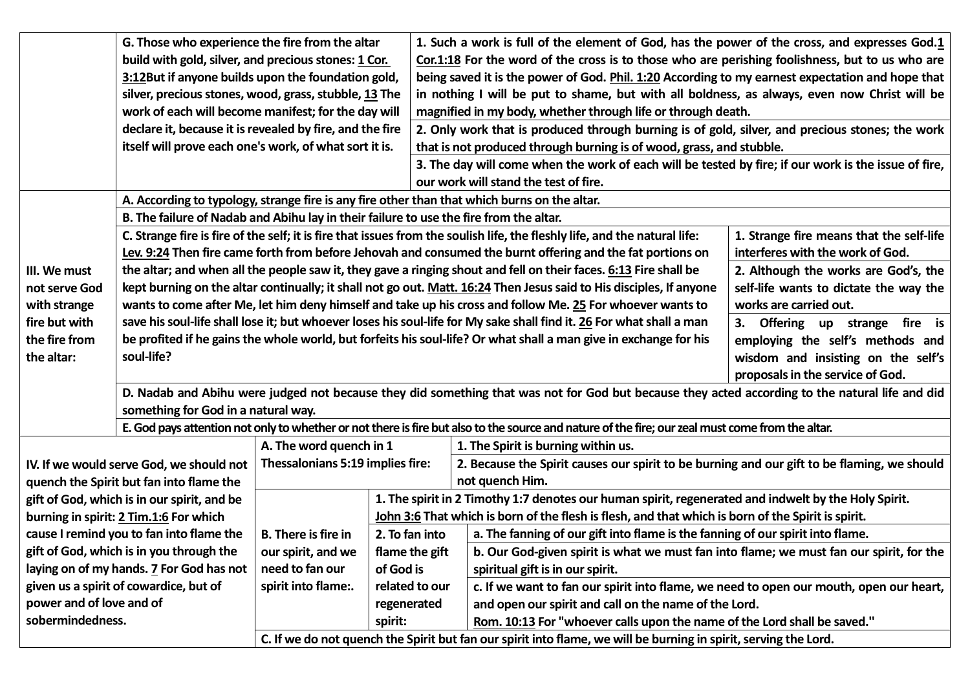|                                                                                                                  | G. Those who experience the fire from the altar                                                                                                               |                                                                                                                                                       |                | 1. Such a work is full of the element of God, has the power of the cross, and expresses God.1                                                   |                                  |  |  |  |
|------------------------------------------------------------------------------------------------------------------|---------------------------------------------------------------------------------------------------------------------------------------------------------------|-------------------------------------------------------------------------------------------------------------------------------------------------------|----------------|-------------------------------------------------------------------------------------------------------------------------------------------------|----------------------------------|--|--|--|
|                                                                                                                  | build with gold, silver, and precious stones: 1 Cor.                                                                                                          |                                                                                                                                                       |                | Cor.1:18 For the word of the cross is to those who are perishing foolishness, but to us who are                                                 |                                  |  |  |  |
|                                                                                                                  | 3:12But if anyone builds upon the foundation gold,                                                                                                            |                                                                                                                                                       |                | being saved it is the power of God. Phil. 1:20 According to my earnest expectation and hope that                                                |                                  |  |  |  |
|                                                                                                                  | silver, precious stones, wood, grass, stubble, 13 The                                                                                                         |                                                                                                                                                       |                | in nothing I will be put to shame, but with all boldness, as always, even now Christ will be                                                    |                                  |  |  |  |
|                                                                                                                  | work of each will become manifest; for the day will                                                                                                           |                                                                                                                                                       |                | magnified in my body, whether through life or through death.                                                                                    |                                  |  |  |  |
|                                                                                                                  | declare it, because it is revealed by fire, and the fire                                                                                                      |                                                                                                                                                       |                | 2. Only work that is produced through burning is of gold, silver, and precious stones; the work                                                 |                                  |  |  |  |
|                                                                                                                  | itself will prove each one's work, of what sort it is.                                                                                                        |                                                                                                                                                       |                | that is not produced through burning is of wood, grass, and stubble.                                                                            |                                  |  |  |  |
|                                                                                                                  |                                                                                                                                                               |                                                                                                                                                       |                | 3. The day will come when the work of each will be tested by fire; if our work is the issue of fire,                                            |                                  |  |  |  |
|                                                                                                                  |                                                                                                                                                               |                                                                                                                                                       |                | our work will stand the test of fire.                                                                                                           |                                  |  |  |  |
|                                                                                                                  | A. According to typology, strange fire is any fire other than that which burns on the altar.                                                                  |                                                                                                                                                       |                |                                                                                                                                                 |                                  |  |  |  |
|                                                                                                                  |                                                                                                                                                               |                                                                                                                                                       |                |                                                                                                                                                 |                                  |  |  |  |
|                                                                                                                  | C. Strange fire is fire of the self; it is fire that issues from the soulish life, the fleshly life, and the natural life:                                    |                                                                                                                                                       |                | 1. Strange fire means that the self-life                                                                                                        |                                  |  |  |  |
|                                                                                                                  | Lev. 9:24 Then fire came forth from before Jehovah and consumed the burnt offering and the fat portions on                                                    |                                                                                                                                                       |                | interferes with the work of God.                                                                                                                |                                  |  |  |  |
| III. We must                                                                                                     | the altar; and when all the people saw it, they gave a ringing shout and fell on their faces. 6:13 Fire shall be<br>2. Although the works are God's, the      |                                                                                                                                                       |                |                                                                                                                                                 |                                  |  |  |  |
| not serve God                                                                                                    | kept burning on the altar continually; it shall not go out. Matt. 16:24 Then Jesus said to His disciples, If anyone<br>self-life wants to dictate the way the |                                                                                                                                                       |                |                                                                                                                                                 |                                  |  |  |  |
| with strange                                                                                                     |                                                                                                                                                               |                                                                                                                                                       |                | wants to come after Me, let him deny himself and take up his cross and follow Me. 25 For whoever wants to                                       | works are carried out.           |  |  |  |
| fire but with                                                                                                    |                                                                                                                                                               |                                                                                                                                                       |                | save his soul-life shall lose it; but whoever loses his soul-life for My sake shall find it. 26 For what shall a man                            | 3. Offering up strange fire is   |  |  |  |
| the fire from                                                                                                    |                                                                                                                                                               | be profited if he gains the whole world, but forfeits his soul-life? Or what shall a man give in exchange for his<br>employing the self's methods and |                |                                                                                                                                                 |                                  |  |  |  |
| the altar:                                                                                                       | soul-life?                                                                                                                                                    |                                                                                                                                                       |                | wisdom and insisting on the self's                                                                                                              |                                  |  |  |  |
|                                                                                                                  |                                                                                                                                                               |                                                                                                                                                       |                |                                                                                                                                                 | proposals in the service of God. |  |  |  |
|                                                                                                                  |                                                                                                                                                               |                                                                                                                                                       |                | D. Nadab and Abihu were judged not because they did something that was not for God but because they acted according to the natural life and did |                                  |  |  |  |
|                                                                                                                  | something for God in a natural way.                                                                                                                           |                                                                                                                                                       |                |                                                                                                                                                 |                                  |  |  |  |
|                                                                                                                  | E. God pays attention not only to whether or not there is fire but also to the source and nature of the fire; our zeal must come from the altar.              |                                                                                                                                                       |                |                                                                                                                                                 |                                  |  |  |  |
|                                                                                                                  |                                                                                                                                                               | A. The word quench in 1                                                                                                                               |                | 1. The Spirit is burning within us.                                                                                                             |                                  |  |  |  |
| IV. If we would serve God, we should not                                                                         |                                                                                                                                                               | Thessalonians 5:19 implies fire:                                                                                                                      |                | 2. Because the Spirit causes our spirit to be burning and our gift to be flaming, we should                                                     |                                  |  |  |  |
| quench the Spirit but fan into flame the                                                                         |                                                                                                                                                               |                                                                                                                                                       |                | not quench Him.                                                                                                                                 |                                  |  |  |  |
| gift of God, which is in our spirit, and be                                                                      |                                                                                                                                                               |                                                                                                                                                       |                | 1. The spirit in 2 Timothy 1:7 denotes our human spirit, regenerated and indwelt by the Holy Spirit.                                            |                                  |  |  |  |
| burning in spirit: 2 Tim.1:6 For which                                                                           |                                                                                                                                                               |                                                                                                                                                       |                | John 3:6 That which is born of the flesh is flesh, and that which is born of the Spirit is spirit.                                              |                                  |  |  |  |
| cause I remind you to fan into flame the                                                                         |                                                                                                                                                               | <b>B.</b> There is fire in                                                                                                                            | 2. To fan into | a. The fanning of our gift into flame is the fanning of our spirit into flame.                                                                  |                                  |  |  |  |
| gift of God, which is in you through the                                                                         |                                                                                                                                                               | our spirit, and we                                                                                                                                    | flame the gift | b. Our God-given spirit is what we must fan into flame; we must fan our spirit, for the                                                         |                                  |  |  |  |
| laying on of my hands. 7 For God has not                                                                         |                                                                                                                                                               | need to fan our                                                                                                                                       | of God is      | spiritual gift is in our spirit.                                                                                                                |                                  |  |  |  |
| given us a spirit of cowardice, but of                                                                           |                                                                                                                                                               | spirit into flame:.                                                                                                                                   | related to our | c. If we want to fan our spirit into flame, we need to open our mouth, open our heart,                                                          |                                  |  |  |  |
| power and of love and of                                                                                         |                                                                                                                                                               |                                                                                                                                                       | regenerated    | and open our spirit and call on the name of the Lord.                                                                                           |                                  |  |  |  |
| sobermindedness.                                                                                                 |                                                                                                                                                               |                                                                                                                                                       | spirit:        | Rom. 10:13 For "whoever calls upon the name of the Lord shall be saved."                                                                        |                                  |  |  |  |
| C. If we do not quench the Spirit but fan our spirit into flame, we will be burning in spirit, serving the Lord. |                                                                                                                                                               |                                                                                                                                                       |                |                                                                                                                                                 |                                  |  |  |  |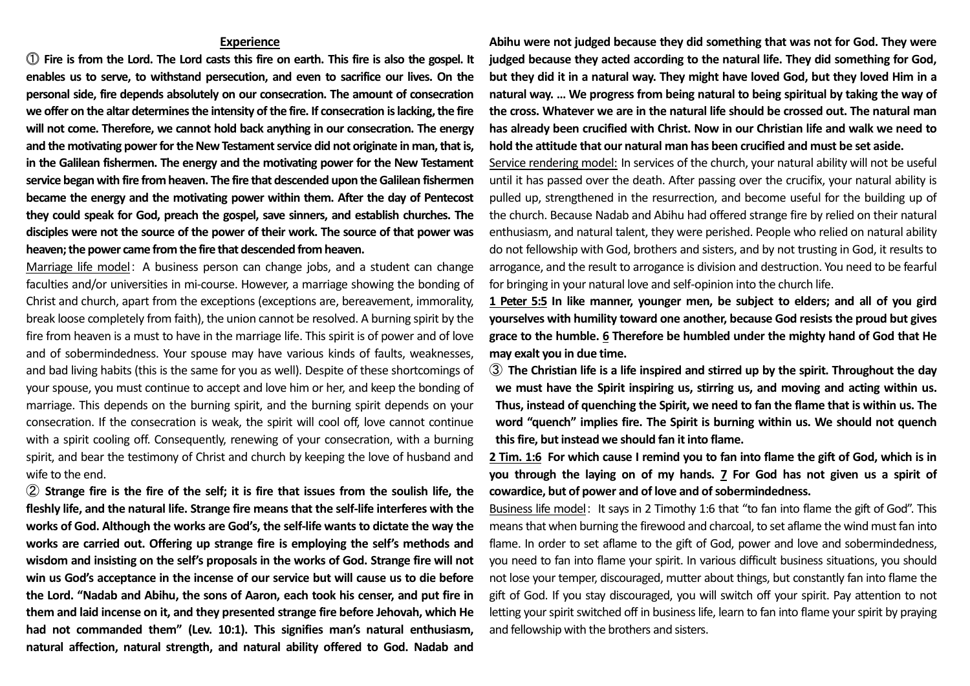## **Experience**

⓵ **Fire is from the Lord. The Lord casts this fire on earth. This fire is also the gospel. It enables us to serve, to withstand persecution, and even to sacrifice our lives. On the personal side, fire depends absolutely on our consecration. The amount of consecration we offer on the altar determines the intensity of the fire. If consecration is lacking, the fire will not come. Therefore, we cannot hold back anything in our consecration. The energy and the motivating power for the New Testament service did not originate in man, that is, in the Galilean fishermen. The energy and the motivating power for the New Testament service began with fire from heaven. The fire that descended upon the Galilean fishermen became the energy and the motivating power within them. After the day of Pentecost they could speak for God, preach the gospel, save sinners, and establish churches. The disciples were not the source of the power of their work. The source of that power was heaven; the power came from the fire that descended from heaven.**

Marriage life model: A business person can change jobs, and a student can change faculties and/or universities in mi-course. However, a marriage showing the bonding of Christ and church, apart from the exceptions (exceptions are, bereavement, immorality, break loose completely from faith), the union cannot be resolved. A burning spirit by the fire from heaven is a must to have in the marriage life. This spirit is of power and of love and of sobermindedness. Your spouse may have various kinds of faults, weaknesses, and bad living habits (this is the same for you as well). Despite of these shortcomings of your spouse, you must continue to accept and love him or her, and keep the bonding of marriage. This depends on the burning spirit, and the burning spirit depends on your consecration. If the consecration is weak, the spirit will cool off, love cannot continue with a spirit cooling off. Consequently, renewing of your consecration, with a burning spirit, and bear the testimony of Christ and church by keeping the love of husband and wife to the end.

② **Strange fire is the fire of the self; it is fire that issues from the soulish life, the fleshly life, and the natural life. Strange fire means that the self-life interferes with the works of God. Although the works are God's, the self-life wants to dictate the way the works are carried out. Offering up strange fire is employing the self's methods and wisdom and insisting on the self's proposals in the works of God. Strange fire will not win us God's acceptance in the incense of our service but will cause us to die before the Lord. "Nadab and Abihu, the sons of Aaron, each took his censer, and put fire in them and laid incense on it, and they presented strange fire before Jehovah, which He had not commanded them" (Lev. 10:1). This signifies man's natural enthusiasm, natural affection, natural strength, and natural ability offered to God. Nadab and** 

**Abihu were not judged because they did something that was not for God. They were judged because they acted according to the natural life. They did something for God, but they did it in a natural way. They might have loved God, but they loved Him in a natural way. … We progress from being natural to being spiritual by taking the way of the cross. Whatever we are in the natural life should be crossed out. The natural man has already been crucified with Christ. Now in our Christian life and walk we need to hold the attitude that our natural man has been crucified and must be set aside.**

Service rendering model: In services of the church, your natural ability will not be useful until it has passed over the death. After passing over the crucifix, your natural ability is pulled up, strengthened in the resurrection, and become useful for the building up of the church. Because Nadab and Abihu had offered strange fire by relied on their natural enthusiasm, and natural talent, they were perished. People who relied on natural ability do not fellowship with God, brothers and sisters, and by not trusting in God, it results to arrogance, and the result to arrogance is division and destruction. You need to be fearful for bringing in your natural love and self-opinion into the church life.

**1 Peter 5:5 In like manner, younger men, be subject to elders; and all of you gird yourselves with humility toward one another, because God resists the proud but gives grace to the humble. 6 Therefore be humbled under the mighty hand of God that He may exalt you in due time.**

③ **The Christian life is a life inspired and stirred up by the spirit. Throughout the day we must have the Spirit inspiring us, stirring us, and moving and acting within us. Thus, instead of quenching the Spirit, we need to fan the flame that is within us. The word "quench" implies fire. The Spirit is burning within us. We should not quench this fire, but instead we should fan it into flame.**

**2 Tim. 1:6 For which cause I remind you to fan into flame the gift of God, which is in you through the laying on of my hands. 7 For God has not given us a spirit of cowardice, but of power and of love and of sobermindedness.**

Business life model: It says in 2 Timothy 1:6 that "to fan into flame the gift of God". This means that when burning the firewood and charcoal, to set aflame the wind must fan into flame. In order to set aflame to the gift of God, power and love and sobermindedness, you need to fan into flame your spirit. In various difficult business situations, you should not lose your temper, discouraged, mutter about things, but constantly fan into flame the gift of God. If you stay discouraged, you will switch off your spirit. Pay attention to not letting your spirit switched off in business life, learn to fan into flame your spirit by praying and fellowship with the brothers and sisters.